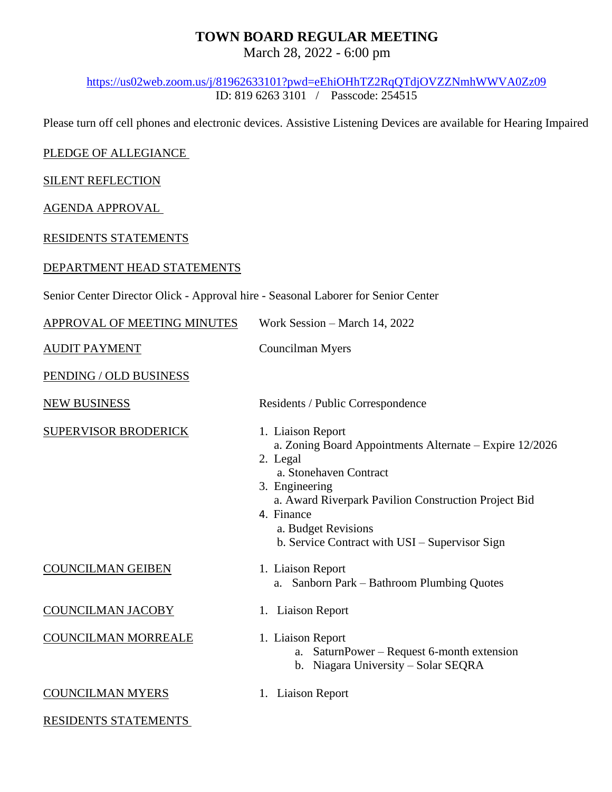## **TOWN BOARD REGULAR MEETING**

March 28, 2022 - 6:00 pm

<https://us02web.zoom.us/j/81962633101?pwd=eEhiOHhTZ2RqQTdjOVZZNmhWWVA0Zz09> ID: 819 6263 3101 / Passcode: 254515

Please turn off cell phones and electronic devices. Assistive Listening Devices are available for Hearing Impaired

## PLEDGE OF ALLEGIANCE

SILENT REFLECTION

AGENDA APPROVAL

RESIDENTS STATEMENTS

## DEPARTMENT HEAD STATEMENTS

| Senior Center Director Olick - Approval hire - Seasonal Laborer for Senior Center |
|-----------------------------------------------------------------------------------|
|-----------------------------------------------------------------------------------|

| APPROVAL OF MEETING MINUTES | Work Session – March 14, 2022                                                                                                                                                                                                                                                       |
|-----------------------------|-------------------------------------------------------------------------------------------------------------------------------------------------------------------------------------------------------------------------------------------------------------------------------------|
| <b>AUDIT PAYMENT</b>        | Councilman Myers                                                                                                                                                                                                                                                                    |
| PENDING / OLD BUSINESS      |                                                                                                                                                                                                                                                                                     |
| <b>NEW BUSINESS</b>         | Residents / Public Correspondence                                                                                                                                                                                                                                                   |
| <b>SUPERVISOR BRODERICK</b> | 1. Liaison Report<br>a. Zoning Board Appointments Alternate – Expire 12/2026<br>2. Legal<br>a. Stonehaven Contract<br>3. Engineering<br>a. Award Riverpark Pavilion Construction Project Bid<br>4. Finance<br>a. Budget Revisions<br>b. Service Contract with USI – Supervisor Sign |
| <b>COUNCILMAN GEIBEN</b>    | 1. Liaison Report<br>a. Sanborn Park - Bathroom Plumbing Quotes                                                                                                                                                                                                                     |
| <b>COUNCILMAN JACOBY</b>    | 1. Liaison Report                                                                                                                                                                                                                                                                   |
| <b>COUNCILMAN MORREALE</b>  | 1. Liaison Report<br>SaturnPower – Request 6-month extension<br>a.<br>b. Niagara University – Solar SEQRA                                                                                                                                                                           |
| <b>COUNCILMAN MYERS</b>     | 1. Liaison Report                                                                                                                                                                                                                                                                   |
| RESIDENTS STATEMENTS        |                                                                                                                                                                                                                                                                                     |